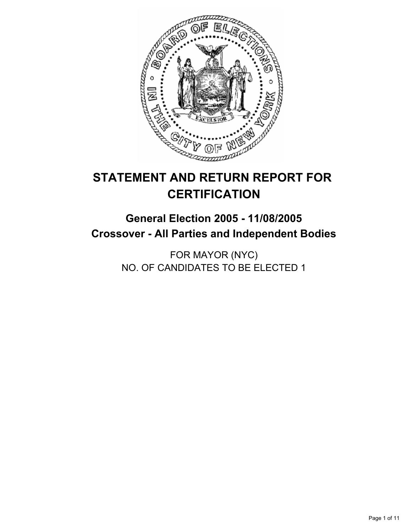

# **STATEMENT AND RETURN REPORT FOR CERTIFICATION**

# **General Election 2005 - 11/08/2005 Crossover - All Parties and Independent Bodies**

FOR MAYOR (NYC) NO. OF CANDIDATES TO BE ELECTED 1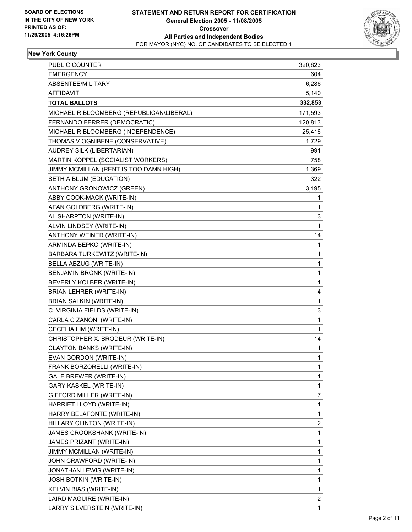

# **New York County**

| PUBLIC COUNTER                           | 320,823      |
|------------------------------------------|--------------|
| <b>EMERGENCY</b>                         | 604          |
| ABSENTEE/MILITARY                        | 6,286        |
| <b>AFFIDAVIT</b>                         | 5,140        |
| <b>TOTAL BALLOTS</b>                     | 332,853      |
| MICHAEL R BLOOMBERG (REPUBLICAN\LIBERAL) | 171,593      |
| FERNANDO FERRER (DEMOCRATIC)             | 120,813      |
| MICHAEL R BLOOMBERG (INDEPENDENCE)       | 25,416       |
| THOMAS V OGNIBENE (CONSERVATIVE)         | 1,729        |
| AUDREY SILK (LIBERTARIAN)                | 991          |
| MARTIN KOPPEL (SOCIALIST WORKERS)        | 758          |
| JIMMY MCMILLAN (RENT IS TOO DAMN HIGH)   | 1,369        |
| SETH A BLUM (EDUCATION)                  | 322          |
| ANTHONY GRONOWICZ (GREEN)                | 3,195        |
| ABBY COOK-MACK (WRITE-IN)                | 1            |
| AFAN GOLDBERG (WRITE-IN)                 | 1            |
| AL SHARPTON (WRITE-IN)                   | 3            |
| ALVIN LINDSEY (WRITE-IN)                 | 1            |
| ANTHONY WEINER (WRITE-IN)                | 14           |
| ARMINDA BEPKO (WRITE-IN)                 | 1            |
| BARBARA TURKEWITZ (WRITE-IN)             | 1            |
| BELLA ABZUG (WRITE-IN)                   | 1            |
| BENJAMIN BRONK (WRITE-IN)                | 1            |
| BEVERLY KOLBER (WRITE-IN)                | 1            |
| <b>BRIAN LEHRER (WRITE-IN)</b>           | 4            |
| <b>BRIAN SALKIN (WRITE-IN)</b>           | 1            |
| C. VIRGINIA FIELDS (WRITE-IN)            | 3            |
| CARLA C ZANONI (WRITE-IN)                | 1            |
| CECELIA LIM (WRITE-IN)                   | $\mathbf{1}$ |
| CHRISTOPHER X. BRODEUR (WRITE-IN)        | 14           |
| <b>CLAYTON BANKS (WRITE-IN)</b>          | 1            |
| EVAN GORDON (WRITE-IN)                   | 1            |
| FRANK BORZORELLI (WRITE-IN)              | 1            |
| <b>GALE BREWER (WRITE-IN)</b>            | 1            |
| GARY KASKEL (WRITE-IN)                   | 1            |
| GIFFORD MILLER (WRITE-IN)                | 7            |
| HARRIET LLOYD (WRITE-IN)                 | 1            |
| HARRY BELAFONTE (WRITE-IN)               | 1            |
| HILLARY CLINTON (WRITE-IN)               | 2            |
| JAMES CROOKSHANK (WRITE-IN)              | 1            |
| JAMES PRIZANT (WRITE-IN)                 | 1            |
| JIMMY MCMILLAN (WRITE-IN)                | 1            |
| JOHN CRAWFORD (WRITE-IN)                 | 1            |
| JONATHAN LEWIS (WRITE-IN)                | 1            |
| JOSH BOTKIN (WRITE-IN)                   | 1            |
| KELVIN BIAS (WRITE-IN)                   | 1            |
| LAIRD MAGUIRE (WRITE-IN)                 | 2            |
| LARRY SILVERSTEIN (WRITE-IN)             | 1            |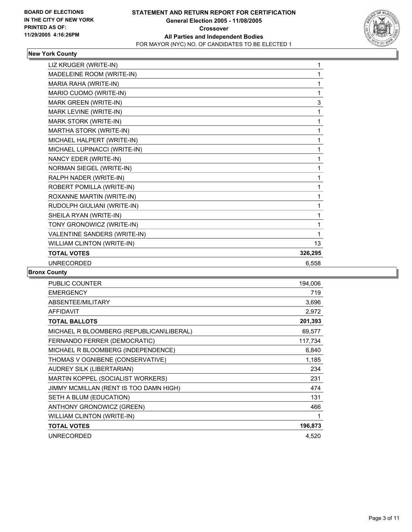

## **New York County**

| LIZ KRUGER (WRITE-IN)        |         |
|------------------------------|---------|
| MADELEINE ROOM (WRITE-IN)    |         |
| MARIA RAHA (WRITE-IN)        |         |
| MARIO CUOMO (WRITE-IN)       |         |
| MARK GREEN (WRITE-IN)        | 3       |
| MARK LEVINE (WRITE-IN)       | 1       |
| MARK STORK (WRITE-IN)        |         |
| MARTHA STORK (WRITE-IN)      |         |
| MICHAEL HALPERT (WRITE-IN)   |         |
| MICHAEL LUPINACCI (WRITE-IN) |         |
| NANCY EDER (WRITE-IN)        |         |
| NORMAN SIEGEL (WRITE-IN)     |         |
| RALPH NADER (WRITE-IN)       |         |
| ROBERT POMILLA (WRITE-IN)    |         |
| ROXANNE MARTIN (WRITE-IN)    |         |
| RUDOLPH GIULIANI (WRITE-IN)  |         |
| SHEILA RYAN (WRITE-IN)       |         |
| TONY GRONOWICZ (WRITE-IN)    |         |
| VALENTINE SANDERS (WRITE-IN) |         |
| WILLIAM CLINTON (WRITE-IN)   | 13      |
| <b>TOTAL VOTES</b>           | 326,295 |
| <b>UNRECORDED</b>            | 6.558   |

## **Bronx County**

| 719<br>3,696<br>2,972<br>201,393<br>69,577<br>117,734<br>6,840<br>1,185<br>234<br>231<br>474<br>131<br>466<br>1<br>196,873<br>4,520 | PUBLIC COUNTER                           | 194,006 |
|-------------------------------------------------------------------------------------------------------------------------------------|------------------------------------------|---------|
|                                                                                                                                     | <b>EMERGENCY</b>                         |         |
|                                                                                                                                     | ABSENTEE/MILITARY                        |         |
|                                                                                                                                     | <b>AFFIDAVIT</b>                         |         |
|                                                                                                                                     | <b>TOTAL BALLOTS</b>                     |         |
|                                                                                                                                     | MICHAEL R BLOOMBERG (REPUBLICAN\LIBERAL) |         |
|                                                                                                                                     | FERNANDO FERRER (DEMOCRATIC)             |         |
|                                                                                                                                     | MICHAEL R BLOOMBERG (INDEPENDENCE)       |         |
|                                                                                                                                     | THOMAS V OGNIBENE (CONSERVATIVE)         |         |
|                                                                                                                                     | AUDREY SILK (LIBERTARIAN)                |         |
|                                                                                                                                     | MARTIN KOPPEL (SOCIALIST WORKERS)        |         |
|                                                                                                                                     | JIMMY MCMILLAN (RENT IS TOO DAMN HIGH)   |         |
|                                                                                                                                     | SETH A BLUM (EDUCATION)                  |         |
|                                                                                                                                     | ANTHONY GRONOWICZ (GREEN)                |         |
|                                                                                                                                     | WILLIAM CLINTON (WRITE-IN)               |         |
|                                                                                                                                     | <b>TOTAL VOTES</b>                       |         |
|                                                                                                                                     | <b>UNRECORDED</b>                        |         |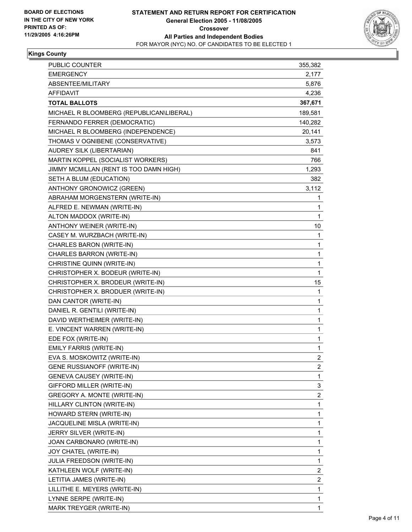

## **Kings County**

| PUBLIC COUNTER                           | 355,382                 |
|------------------------------------------|-------------------------|
| <b>EMERGENCY</b>                         | 2,177                   |
| ABSENTEE/MILITARY                        | 5,876                   |
| <b>AFFIDAVIT</b>                         | 4,236                   |
| <b>TOTAL BALLOTS</b>                     | 367,671                 |
| MICHAEL R BLOOMBERG (REPUBLICAN\LIBERAL) | 189,581                 |
| FERNANDO FERRER (DEMOCRATIC)             | 140,282                 |
| MICHAEL R BLOOMBERG (INDEPENDENCE)       | 20,141                  |
| THOMAS V OGNIBENE (CONSERVATIVE)         | 3,573                   |
| AUDREY SILK (LIBERTARIAN)                | 841                     |
| MARTIN KOPPEL (SOCIALIST WORKERS)        | 766                     |
| JIMMY MCMILLAN (RENT IS TOO DAMN HIGH)   | 1,293                   |
| SETH A BLUM (EDUCATION)                  | 382                     |
| ANTHONY GRONOWICZ (GREEN)                | 3,112                   |
| ABRAHAM MORGENSTERN (WRITE-IN)           | 1                       |
| ALFRED E. NEWMAN (WRITE-IN)              | 1                       |
| ALTON MADDOX (WRITE-IN)                  | $\mathbf{1}$            |
| ANTHONY WEINER (WRITE-IN)                | 10                      |
| CASEY M. WURZBACH (WRITE-IN)             | 1                       |
| CHARLES BARON (WRITE-IN)                 | 1                       |
| CHARLES BARRON (WRITE-IN)                | 1                       |
| CHRISTINE QUINN (WRITE-IN)               | 1                       |
| CHRISTOPHER X. BODEUR (WRITE-IN)         | $\mathbf{1}$            |
| CHRISTOPHER X. BRODEUR (WRITE-IN)        | 15                      |
| CHRISTOPHER X. BRODUER (WRITE-IN)        | 1                       |
| DAN CANTOR (WRITE-IN)                    | 1                       |
| DANIEL R. GENTILI (WRITE-IN)             | 1                       |
| DAVID WERTHEIMER (WRITE-IN)              | 1                       |
| E. VINCENT WARREN (WRITE-IN)             | 1                       |
| EDE FOX (WRITE-IN)                       | 1                       |
| <b>EMILY FARRIS (WRITE-IN)</b>           | 1                       |
| EVA S. MOSKOWITZ (WRITE-IN)              | 2                       |
| <b>GENE RUSSIANOFF (WRITE-IN)</b>        | 2                       |
| <b>GENEVA CAUSEY (WRITE-IN)</b>          | 1                       |
| GIFFORD MILLER (WRITE-IN)                | 3                       |
| GREGORY A. MONTE (WRITE-IN)              | $\overline{\mathbf{c}}$ |
| HILLARY CLINTON (WRITE-IN)               | 1                       |
| HOWARD STERN (WRITE-IN)                  | 1                       |
| JACQUELINE MISLA (WRITE-IN)              | 1                       |
| JERRY SILVER (WRITE-IN)                  | 1                       |
| JOAN CARBONARO (WRITE-IN)                | 1                       |
| JOY CHATEL (WRITE-IN)                    | 1                       |
| JULIA FREEDSON (WRITE-IN)                | 1                       |
| KATHLEEN WOLF (WRITE-IN)                 | $\boldsymbol{2}$        |
| LETITIA JAMES (WRITE-IN)                 | 2                       |
| LILLITHE E. MEYERS (WRITE-IN)            | 1                       |
| LYNNE SERPE (WRITE-IN)                   | 1                       |
| MARK TREYGER (WRITE-IN)                  | 1                       |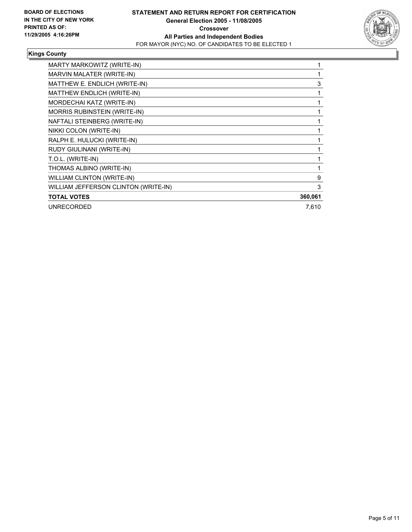

## **Kings County**

| MARTY MARKOWITZ (WRITE-IN)           |         |
|--------------------------------------|---------|
| MARVIN MALATER (WRITE-IN)            |         |
| MATTHEW E. ENDLICH (WRITE-IN)        | 3       |
| MATTHEW ENDLICH (WRITE-IN)           |         |
| MORDECHAI KATZ (WRITE-IN)            |         |
| MORRIS RUBINSTEIN (WRITE-IN)         |         |
| NAFTALI STEINBERG (WRITE-IN)         |         |
| NIKKI COLON (WRITE-IN)               |         |
| RALPH E. HULUCKI (WRITE-IN)          |         |
| RUDY GIULINANI (WRITE-IN)            |         |
| T.O.L. (WRITE-IN)                    |         |
| THOMAS ALBINO (WRITE-IN)             |         |
| <b>WILLIAM CLINTON (WRITE-IN)</b>    | 9       |
| WILLIAM JEFFERSON CLINTON (WRITE-IN) | 3       |
| <b>TOTAL VOTES</b>                   | 360,061 |
| <b>UNRECORDED</b>                    | 7,610   |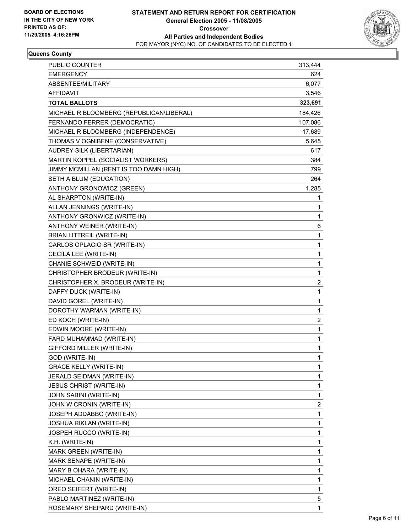

## **Queens County**

| <b>EMERGENCY</b><br>ABSENTEE/MILITARY<br>AFFIDAVIT<br><b>TOTAL BALLOTS</b><br>MICHAEL R BLOOMBERG (REPUBLICAN\LIBERAL)<br>FERNANDO FERRER (DEMOCRATIC)<br>107,086<br>MICHAEL R BLOOMBERG (INDEPENDENCE)<br>17,689<br>THOMAS V OGNIBENE (CONSERVATIVE)<br><b>AUDREY SILK (LIBERTARIAN)</b><br>MARTIN KOPPEL (SOCIALIST WORKERS)<br>JIMMY MCMILLAN (RENT IS TOO DAMN HIGH)<br>SETH A BLUM (EDUCATION)<br>ANTHONY GRONOWICZ (GREEN)<br>1,285<br>AL SHARPTON (WRITE-IN)<br>ALLAN JENNINGS (WRITE-IN)<br>ANTHONY GRONWICZ (WRITE-IN)<br>ANTHONY WEINER (WRITE-IN)<br>1<br><b>BRIAN LITTREIL (WRITE-IN)</b><br>CARLOS OPLACIO SR (WRITE-IN)<br>1<br>CECILA LEE (WRITE-IN)<br>CHANIE SCHWEID (WRITE-IN)<br>1<br>$\mathbf{1}$<br>CHRISTOPHER BRODEUR (WRITE-IN)<br>$\overline{\mathbf{c}}$<br>CHRISTOPHER X. BRODEUR (WRITE-IN)<br>DAFFY DUCK (WRITE-IN)<br>1<br>1<br>DAVID GOREL (WRITE-IN)<br>DOROTHY WARMAN (WRITE-IN)<br>ED KOCH (WRITE-IN)<br>$\overline{\mathbf{c}}$<br>EDWIN MOORE (WRITE-IN)<br>FARD MUHAMMAD (WRITE-IN)<br>GIFFORD MILLER (WRITE-IN)<br>1<br>GOD (WRITE-IN)<br>1<br><b>GRACE KELLY (WRITE-IN)</b><br>JERALD SEIDMAN (WRITE-IN)<br><b>JESUS CHRIST (WRITE-IN)</b><br>JOHN SABINI (WRITE-IN)<br>JOHN W CRONIN (WRITE-IN)<br>JOSEPH ADDABBO (WRITE-IN)<br><b>JOSHUA RIKLAN (WRITE-IN)</b><br>JOSPEH RUCCO (WRITE-IN)<br>K.H. (WRITE-IN)<br>MARK GREEN (WRITE-IN)<br>MARK SENAPE (WRITE-IN)<br>1<br>MARY B OHARA (WRITE-IN)<br>MICHAEL CHANIN (WRITE-IN)<br>$\mathbf 1$<br>OREO SEIFERT (WRITE-IN)<br>5<br>PABLO MARTINEZ (WRITE-IN) | <b>PUBLIC COUNTER</b>       | 313,444                 |
|---------------------------------------------------------------------------------------------------------------------------------------------------------------------------------------------------------------------------------------------------------------------------------------------------------------------------------------------------------------------------------------------------------------------------------------------------------------------------------------------------------------------------------------------------------------------------------------------------------------------------------------------------------------------------------------------------------------------------------------------------------------------------------------------------------------------------------------------------------------------------------------------------------------------------------------------------------------------------------------------------------------------------------------------------------------------------------------------------------------------------------------------------------------------------------------------------------------------------------------------------------------------------------------------------------------------------------------------------------------------------------------------------------------------------------------------------------------------------------------------------------------------------------------------------|-----------------------------|-------------------------|
|                                                                                                                                                                                                                                                                                                                                                                                                                                                                                                                                                                                                                                                                                                                                                                                                                                                                                                                                                                                                                                                                                                                                                                                                                                                                                                                                                                                                                                                                                                                                                   |                             | 624                     |
|                                                                                                                                                                                                                                                                                                                                                                                                                                                                                                                                                                                                                                                                                                                                                                                                                                                                                                                                                                                                                                                                                                                                                                                                                                                                                                                                                                                                                                                                                                                                                   |                             | 6,077                   |
|                                                                                                                                                                                                                                                                                                                                                                                                                                                                                                                                                                                                                                                                                                                                                                                                                                                                                                                                                                                                                                                                                                                                                                                                                                                                                                                                                                                                                                                                                                                                                   |                             | 3,546                   |
|                                                                                                                                                                                                                                                                                                                                                                                                                                                                                                                                                                                                                                                                                                                                                                                                                                                                                                                                                                                                                                                                                                                                                                                                                                                                                                                                                                                                                                                                                                                                                   |                             | 323,691                 |
|                                                                                                                                                                                                                                                                                                                                                                                                                                                                                                                                                                                                                                                                                                                                                                                                                                                                                                                                                                                                                                                                                                                                                                                                                                                                                                                                                                                                                                                                                                                                                   |                             | 184,426                 |
|                                                                                                                                                                                                                                                                                                                                                                                                                                                                                                                                                                                                                                                                                                                                                                                                                                                                                                                                                                                                                                                                                                                                                                                                                                                                                                                                                                                                                                                                                                                                                   |                             |                         |
|                                                                                                                                                                                                                                                                                                                                                                                                                                                                                                                                                                                                                                                                                                                                                                                                                                                                                                                                                                                                                                                                                                                                                                                                                                                                                                                                                                                                                                                                                                                                                   |                             |                         |
|                                                                                                                                                                                                                                                                                                                                                                                                                                                                                                                                                                                                                                                                                                                                                                                                                                                                                                                                                                                                                                                                                                                                                                                                                                                                                                                                                                                                                                                                                                                                                   |                             | 5,645                   |
|                                                                                                                                                                                                                                                                                                                                                                                                                                                                                                                                                                                                                                                                                                                                                                                                                                                                                                                                                                                                                                                                                                                                                                                                                                                                                                                                                                                                                                                                                                                                                   |                             | 617                     |
|                                                                                                                                                                                                                                                                                                                                                                                                                                                                                                                                                                                                                                                                                                                                                                                                                                                                                                                                                                                                                                                                                                                                                                                                                                                                                                                                                                                                                                                                                                                                                   |                             | 384                     |
|                                                                                                                                                                                                                                                                                                                                                                                                                                                                                                                                                                                                                                                                                                                                                                                                                                                                                                                                                                                                                                                                                                                                                                                                                                                                                                                                                                                                                                                                                                                                                   |                             | 799                     |
|                                                                                                                                                                                                                                                                                                                                                                                                                                                                                                                                                                                                                                                                                                                                                                                                                                                                                                                                                                                                                                                                                                                                                                                                                                                                                                                                                                                                                                                                                                                                                   |                             | 264                     |
|                                                                                                                                                                                                                                                                                                                                                                                                                                                                                                                                                                                                                                                                                                                                                                                                                                                                                                                                                                                                                                                                                                                                                                                                                                                                                                                                                                                                                                                                                                                                                   |                             |                         |
|                                                                                                                                                                                                                                                                                                                                                                                                                                                                                                                                                                                                                                                                                                                                                                                                                                                                                                                                                                                                                                                                                                                                                                                                                                                                                                                                                                                                                                                                                                                                                   |                             | $\mathbf{1}$            |
|                                                                                                                                                                                                                                                                                                                                                                                                                                                                                                                                                                                                                                                                                                                                                                                                                                                                                                                                                                                                                                                                                                                                                                                                                                                                                                                                                                                                                                                                                                                                                   |                             | 1                       |
|                                                                                                                                                                                                                                                                                                                                                                                                                                                                                                                                                                                                                                                                                                                                                                                                                                                                                                                                                                                                                                                                                                                                                                                                                                                                                                                                                                                                                                                                                                                                                   |                             | 1                       |
|                                                                                                                                                                                                                                                                                                                                                                                                                                                                                                                                                                                                                                                                                                                                                                                                                                                                                                                                                                                                                                                                                                                                                                                                                                                                                                                                                                                                                                                                                                                                                   |                             | 6                       |
|                                                                                                                                                                                                                                                                                                                                                                                                                                                                                                                                                                                                                                                                                                                                                                                                                                                                                                                                                                                                                                                                                                                                                                                                                                                                                                                                                                                                                                                                                                                                                   |                             |                         |
|                                                                                                                                                                                                                                                                                                                                                                                                                                                                                                                                                                                                                                                                                                                                                                                                                                                                                                                                                                                                                                                                                                                                                                                                                                                                                                                                                                                                                                                                                                                                                   |                             |                         |
|                                                                                                                                                                                                                                                                                                                                                                                                                                                                                                                                                                                                                                                                                                                                                                                                                                                                                                                                                                                                                                                                                                                                                                                                                                                                                                                                                                                                                                                                                                                                                   |                             | 1                       |
|                                                                                                                                                                                                                                                                                                                                                                                                                                                                                                                                                                                                                                                                                                                                                                                                                                                                                                                                                                                                                                                                                                                                                                                                                                                                                                                                                                                                                                                                                                                                                   |                             |                         |
|                                                                                                                                                                                                                                                                                                                                                                                                                                                                                                                                                                                                                                                                                                                                                                                                                                                                                                                                                                                                                                                                                                                                                                                                                                                                                                                                                                                                                                                                                                                                                   |                             |                         |
|                                                                                                                                                                                                                                                                                                                                                                                                                                                                                                                                                                                                                                                                                                                                                                                                                                                                                                                                                                                                                                                                                                                                                                                                                                                                                                                                                                                                                                                                                                                                                   |                             |                         |
|                                                                                                                                                                                                                                                                                                                                                                                                                                                                                                                                                                                                                                                                                                                                                                                                                                                                                                                                                                                                                                                                                                                                                                                                                                                                                                                                                                                                                                                                                                                                                   |                             |                         |
|                                                                                                                                                                                                                                                                                                                                                                                                                                                                                                                                                                                                                                                                                                                                                                                                                                                                                                                                                                                                                                                                                                                                                                                                                                                                                                                                                                                                                                                                                                                                                   |                             |                         |
|                                                                                                                                                                                                                                                                                                                                                                                                                                                                                                                                                                                                                                                                                                                                                                                                                                                                                                                                                                                                                                                                                                                                                                                                                                                                                                                                                                                                                                                                                                                                                   |                             | 1                       |
|                                                                                                                                                                                                                                                                                                                                                                                                                                                                                                                                                                                                                                                                                                                                                                                                                                                                                                                                                                                                                                                                                                                                                                                                                                                                                                                                                                                                                                                                                                                                                   |                             |                         |
|                                                                                                                                                                                                                                                                                                                                                                                                                                                                                                                                                                                                                                                                                                                                                                                                                                                                                                                                                                                                                                                                                                                                                                                                                                                                                                                                                                                                                                                                                                                                                   |                             | 1                       |
|                                                                                                                                                                                                                                                                                                                                                                                                                                                                                                                                                                                                                                                                                                                                                                                                                                                                                                                                                                                                                                                                                                                                                                                                                                                                                                                                                                                                                                                                                                                                                   |                             | 1                       |
|                                                                                                                                                                                                                                                                                                                                                                                                                                                                                                                                                                                                                                                                                                                                                                                                                                                                                                                                                                                                                                                                                                                                                                                                                                                                                                                                                                                                                                                                                                                                                   |                             |                         |
|                                                                                                                                                                                                                                                                                                                                                                                                                                                                                                                                                                                                                                                                                                                                                                                                                                                                                                                                                                                                                                                                                                                                                                                                                                                                                                                                                                                                                                                                                                                                                   |                             |                         |
|                                                                                                                                                                                                                                                                                                                                                                                                                                                                                                                                                                                                                                                                                                                                                                                                                                                                                                                                                                                                                                                                                                                                                                                                                                                                                                                                                                                                                                                                                                                                                   |                             | 1                       |
|                                                                                                                                                                                                                                                                                                                                                                                                                                                                                                                                                                                                                                                                                                                                                                                                                                                                                                                                                                                                                                                                                                                                                                                                                                                                                                                                                                                                                                                                                                                                                   |                             | 1                       |
|                                                                                                                                                                                                                                                                                                                                                                                                                                                                                                                                                                                                                                                                                                                                                                                                                                                                                                                                                                                                                                                                                                                                                                                                                                                                                                                                                                                                                                                                                                                                                   |                             | 1                       |
|                                                                                                                                                                                                                                                                                                                                                                                                                                                                                                                                                                                                                                                                                                                                                                                                                                                                                                                                                                                                                                                                                                                                                                                                                                                                                                                                                                                                                                                                                                                                                   |                             | 1                       |
|                                                                                                                                                                                                                                                                                                                                                                                                                                                                                                                                                                                                                                                                                                                                                                                                                                                                                                                                                                                                                                                                                                                                                                                                                                                                                                                                                                                                                                                                                                                                                   |                             | $\overline{\mathbf{c}}$ |
|                                                                                                                                                                                                                                                                                                                                                                                                                                                                                                                                                                                                                                                                                                                                                                                                                                                                                                                                                                                                                                                                                                                                                                                                                                                                                                                                                                                                                                                                                                                                                   |                             | 1                       |
|                                                                                                                                                                                                                                                                                                                                                                                                                                                                                                                                                                                                                                                                                                                                                                                                                                                                                                                                                                                                                                                                                                                                                                                                                                                                                                                                                                                                                                                                                                                                                   |                             | 1                       |
|                                                                                                                                                                                                                                                                                                                                                                                                                                                                                                                                                                                                                                                                                                                                                                                                                                                                                                                                                                                                                                                                                                                                                                                                                                                                                                                                                                                                                                                                                                                                                   |                             | 1                       |
|                                                                                                                                                                                                                                                                                                                                                                                                                                                                                                                                                                                                                                                                                                                                                                                                                                                                                                                                                                                                                                                                                                                                                                                                                                                                                                                                                                                                                                                                                                                                                   |                             | 1                       |
|                                                                                                                                                                                                                                                                                                                                                                                                                                                                                                                                                                                                                                                                                                                                                                                                                                                                                                                                                                                                                                                                                                                                                                                                                                                                                                                                                                                                                                                                                                                                                   |                             | 1                       |
|                                                                                                                                                                                                                                                                                                                                                                                                                                                                                                                                                                                                                                                                                                                                                                                                                                                                                                                                                                                                                                                                                                                                                                                                                                                                                                                                                                                                                                                                                                                                                   |                             | 1                       |
|                                                                                                                                                                                                                                                                                                                                                                                                                                                                                                                                                                                                                                                                                                                                                                                                                                                                                                                                                                                                                                                                                                                                                                                                                                                                                                                                                                                                                                                                                                                                                   |                             |                         |
|                                                                                                                                                                                                                                                                                                                                                                                                                                                                                                                                                                                                                                                                                                                                                                                                                                                                                                                                                                                                                                                                                                                                                                                                                                                                                                                                                                                                                                                                                                                                                   |                             | 1                       |
|                                                                                                                                                                                                                                                                                                                                                                                                                                                                                                                                                                                                                                                                                                                                                                                                                                                                                                                                                                                                                                                                                                                                                                                                                                                                                                                                                                                                                                                                                                                                                   |                             |                         |
|                                                                                                                                                                                                                                                                                                                                                                                                                                                                                                                                                                                                                                                                                                                                                                                                                                                                                                                                                                                                                                                                                                                                                                                                                                                                                                                                                                                                                                                                                                                                                   |                             |                         |
|                                                                                                                                                                                                                                                                                                                                                                                                                                                                                                                                                                                                                                                                                                                                                                                                                                                                                                                                                                                                                                                                                                                                                                                                                                                                                                                                                                                                                                                                                                                                                   | ROSEMARY SHEPARD (WRITE-IN) | 1                       |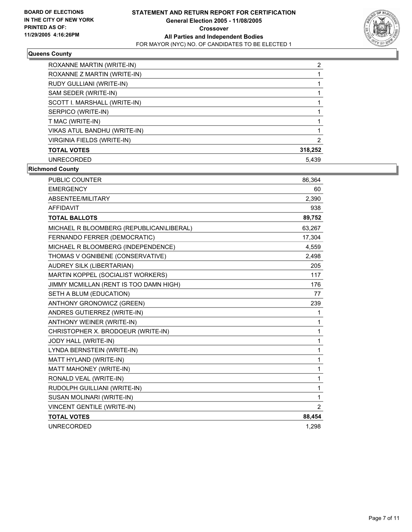

## **Queens County**

| ROXANNE MARTIN (WRITE-IN)    | ◠       |
|------------------------------|---------|
| ROXANNE Z MARTIN (WRITE-IN)  |         |
| RUDY GULLIANI (WRITE-IN)     |         |
| SAM SEDER (WRITE-IN)         |         |
| SCOTT I. MARSHALL (WRITE-IN) |         |
| SERPICO (WRITE-IN)           |         |
| T MAC (WRITE-IN)             |         |
| VIKAS ATUL BANDHU (WRITE-IN) |         |
| VIRGINIA FIELDS (WRITE-IN)   |         |
| <b>TOTAL VOTES</b>           | 318,252 |
| UNRECORDED                   | 5.439   |

**Richmond County**

| <b>PUBLIC COUNTER</b>                    | 86,364 |
|------------------------------------------|--------|
| <b>EMERGENCY</b>                         | 60     |
| ABSENTEE/MILITARY                        | 2,390  |
| <b>AFFIDAVIT</b>                         | 938    |
| <b>TOTAL BALLOTS</b>                     | 89,752 |
| MICHAEL R BLOOMBERG (REPUBLICAN\LIBERAL) | 63,267 |
| FERNANDO FERRER (DEMOCRATIC)             | 17,304 |
| MICHAEL R BLOOMBERG (INDEPENDENCE)       | 4,559  |
| THOMAS V OGNIBENE (CONSERVATIVE)         | 2,498  |
| AUDREY SILK (LIBERTARIAN)                | 205    |
| MARTIN KOPPEL (SOCIALIST WORKERS)        | 117    |
| JIMMY MCMILLAN (RENT IS TOO DAMN HIGH)   | 176    |
| SETH A BLUM (EDUCATION)                  | 77     |
| <b>ANTHONY GRONOWICZ (GREEN)</b>         | 239    |
| ANDRES GUTIERREZ (WRITE-IN)              | 1      |
| ANTHONY WEINER (WRITE-IN)                | 1      |
| CHRISTOPHER X. BRODOEUR (WRITE-IN)       | 1      |
| JODY HALL (WRITE-IN)                     | 1      |
| LYNDA BERNSTEIN (WRITE-IN)               | 1      |
| MATT HYLAND (WRITE-IN)                   | 1      |
| MATT MAHONEY (WRITE-IN)                  | 1      |
| RONALD VEAL (WRITE-IN)                   | 1      |
| RUDOLPH GUILLIANI (WRITE-IN)             | 1      |
| SUSAN MOLINARI (WRITE-IN)                | 1      |
| <b>VINCENT GENTILE (WRITE-IN)</b>        | 2      |
| <b>TOTAL VOTES</b>                       | 88,454 |
| <b>UNRECORDED</b>                        | 1,298  |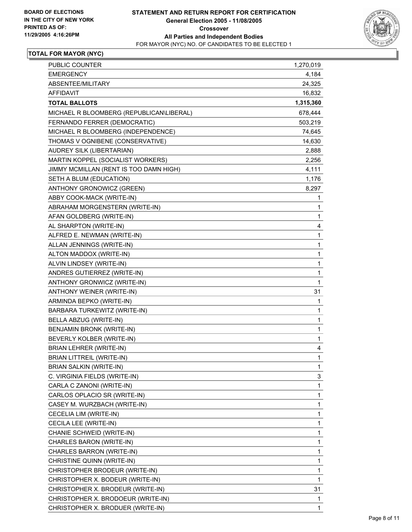

| PUBLIC COUNTER                           | 1,270,019    |
|------------------------------------------|--------------|
| <b>EMERGENCY</b>                         | 4,184        |
| ABSENTEE/MILITARY                        | 24,325       |
| AFFIDAVIT                                | 16,832       |
| <b>TOTAL BALLOTS</b>                     | 1,315,360    |
| MICHAEL R BLOOMBERG (REPUBLICAN\LIBERAL) | 678,444      |
| FERNANDO FERRER (DEMOCRATIC)             | 503,219      |
| MICHAEL R BLOOMBERG (INDEPENDENCE)       | 74,645       |
| THOMAS V OGNIBENE (CONSERVATIVE)         | 14,630       |
| AUDREY SILK (LIBERTARIAN)                | 2,888        |
| MARTIN KOPPEL (SOCIALIST WORKERS)        | 2,256        |
| JIMMY MCMILLAN (RENT IS TOO DAMN HIGH)   | 4,111        |
| SETH A BLUM (EDUCATION)                  | 1,176        |
| ANTHONY GRONOWICZ (GREEN)                | 8,297        |
| ABBY COOK-MACK (WRITE-IN)                | 1            |
| ABRAHAM MORGENSTERN (WRITE-IN)           | 1            |
| AFAN GOLDBERG (WRITE-IN)                 | 1            |
| AL SHARPTON (WRITE-IN)                   | 4            |
| ALFRED E. NEWMAN (WRITE-IN)              | 1            |
| ALLAN JENNINGS (WRITE-IN)                | 1            |
| ALTON MADDOX (WRITE-IN)                  | 1            |
| ALVIN LINDSEY (WRITE-IN)                 | 1            |
| ANDRES GUTIERREZ (WRITE-IN)              | 1            |
| ANTHONY GRONWICZ (WRITE-IN)              | $\mathbf{1}$ |
| ANTHONY WEINER (WRITE-IN)                | 31           |
| ARMINDA BEPKO (WRITE-IN)                 | 1            |
| BARBARA TURKEWITZ (WRITE-IN)             | 1            |
| BELLA ABZUG (WRITE-IN)                   | 1            |
| BENJAMIN BRONK (WRITE-IN)                | 1            |
| BEVERLY KOLBER (WRITE-IN)                | 1            |
| <b>BRIAN LEHRER (WRITE-IN)</b>           | 4            |
| <b>BRIAN LITTREIL (WRITE-IN)</b>         | 1            |
| BRIAN SALKIN (WRITE-IN)                  | 1            |
| C. VIRGINIA FIELDS (WRITE-IN)            | 3            |
| CARLA C ZANONI (WRITE-IN)                | 1            |
| CARLOS OPLACIO SR (WRITE-IN)             | 1            |
| CASEY M. WURZBACH (WRITE-IN)             | 1            |
| CECELIA LIM (WRITE-IN)                   | 1            |
| CECILA LEE (WRITE-IN)                    | 1            |
| CHANIE SCHWEID (WRITE-IN)                | 1            |
| CHARLES BARON (WRITE-IN)                 | 1            |
| CHARLES BARRON (WRITE-IN)                | 1            |
| CHRISTINE QUINN (WRITE-IN)               | 1            |
| CHRISTOPHER BRODEUR (WRITE-IN)           | 1            |
| CHRISTOPHER X. BODEUR (WRITE-IN)         | 1            |
| CHRISTOPHER X. BRODEUR (WRITE-IN)        | 31           |
| CHRISTOPHER X. BRODOEUR (WRITE-IN)       | 1            |
| CHRISTOPHER X. BRODUER (WRITE-IN)        | 1            |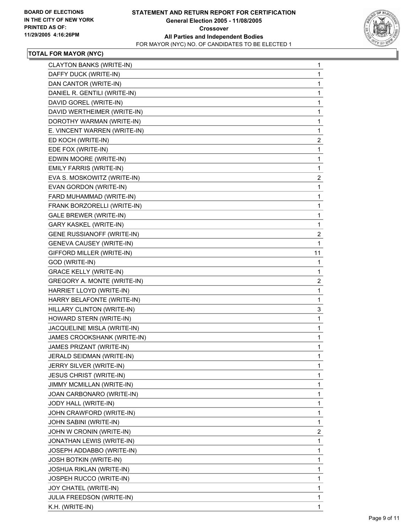

| CLAYTON BANKS (WRITE-IN)          | $\mathbf{1}$            |
|-----------------------------------|-------------------------|
| DAFFY DUCK (WRITE-IN)             | 1                       |
| DAN CANTOR (WRITE-IN)             | 1                       |
| DANIEL R. GENTILI (WRITE-IN)      | 1                       |
| DAVID GOREL (WRITE-IN)            | 1                       |
| DAVID WERTHEIMER (WRITE-IN)       | 1                       |
| DOROTHY WARMAN (WRITE-IN)         | 1                       |
| E. VINCENT WARREN (WRITE-IN)      | $\mathbf{1}$            |
| ED KOCH (WRITE-IN)                | $\overline{\mathbf{c}}$ |
| EDE FOX (WRITE-IN)                | 1                       |
| EDWIN MOORE (WRITE-IN)            | $\mathbf 1$             |
| EMILY FARRIS (WRITE-IN)           | $\mathbf 1$             |
| EVA S. MOSKOWITZ (WRITE-IN)       | $\overline{\mathbf{c}}$ |
| EVAN GORDON (WRITE-IN)            | 1                       |
| FARD MUHAMMAD (WRITE-IN)          | 1                       |
| FRANK BORZORELLI (WRITE-IN)       | 1                       |
| <b>GALE BREWER (WRITE-IN)</b>     | 1                       |
| GARY KASKEL (WRITE-IN)            | 1                       |
| <b>GENE RUSSIANOFF (WRITE-IN)</b> | $\overline{\mathbf{c}}$ |
| GENEVA CAUSEY (WRITE-IN)          | $\mathbf{1}$            |
| GIFFORD MILLER (WRITE-IN)         | 11                      |
| GOD (WRITE-IN)                    | 1                       |
| <b>GRACE KELLY (WRITE-IN)</b>     | 1                       |
| GREGORY A. MONTE (WRITE-IN)       | $\overline{c}$          |
| HARRIET LLOYD (WRITE-IN)          | 1                       |
| HARRY BELAFONTE (WRITE-IN)        | $\mathbf 1$             |
| HILLARY CLINTON (WRITE-IN)        | 3                       |
| HOWARD STERN (WRITE-IN)           | 1                       |
| JACQUELINE MISLA (WRITE-IN)       | 1                       |
| JAMES CROOKSHANK (WRITE-IN)       | 1                       |
| JAMES PRIZANT (WRITE-IN)          | 1                       |
| JERALD SEIDMAN (WRITE-IN)         | 1                       |
| JERRY SILVER (WRITE-IN)           | 1                       |
| <b>JESUS CHRIST (WRITE-IN)</b>    | 1                       |
| JIMMY MCMILLAN (WRITE-IN)         | 1                       |
| JOAN CARBONARO (WRITE-IN)         | 1                       |
| JODY HALL (WRITE-IN)              | 1                       |
| JOHN CRAWFORD (WRITE-IN)          | 1                       |
| JOHN SABINI (WRITE-IN)            | 1                       |
| JOHN W CRONIN (WRITE-IN)          | $\overline{\mathbf{c}}$ |
| JONATHAN LEWIS (WRITE-IN)         | 1                       |
| JOSEPH ADDABBO (WRITE-IN)         | 1                       |
| <b>JOSH BOTKIN (WRITE-IN)</b>     | 1                       |
| <b>JOSHUA RIKLAN (WRITE-IN)</b>   | 1                       |
| JOSPEH RUCCO (WRITE-IN)           | 1                       |
| JOY CHATEL (WRITE-IN)             | 1                       |
| JULIA FREEDSON (WRITE-IN)         | 1                       |
| K.H. (WRITE-IN)                   | 1                       |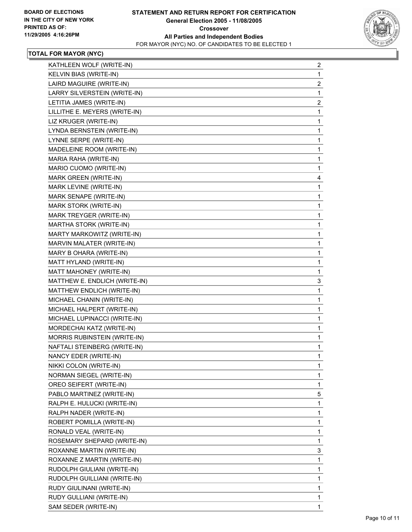

| KATHLEEN WOLF (WRITE-IN)      | 2                       |
|-------------------------------|-------------------------|
| KELVIN BIAS (WRITE-IN)        | 1                       |
| LAIRD MAGUIRE (WRITE-IN)      | $\overline{\mathbf{c}}$ |
| LARRY SILVERSTEIN (WRITE-IN)  | $\mathbf 1$             |
| LETITIA JAMES (WRITE-IN)      | $\overline{c}$          |
| LILLITHE E. MEYERS (WRITE-IN) | $\mathbf 1$             |
| LIZ KRUGER (WRITE-IN)         | 1                       |
| LYNDA BERNSTEIN (WRITE-IN)    | 1                       |
| LYNNE SERPE (WRITE-IN)        | 1                       |
| MADELEINE ROOM (WRITE-IN)     | 1                       |
| MARIA RAHA (WRITE-IN)         | 1                       |
| MARIO CUOMO (WRITE-IN)        | 1                       |
| MARK GREEN (WRITE-IN)         | 4                       |
| MARK LEVINE (WRITE-IN)        | 1                       |
| MARK SENAPE (WRITE-IN)        | 1                       |
| MARK STORK (WRITE-IN)         | 1                       |
| MARK TREYGER (WRITE-IN)       | 1                       |
| MARTHA STORK (WRITE-IN)       | $\mathbf 1$             |
| MARTY MARKOWITZ (WRITE-IN)    | 1                       |
| MARVIN MALATER (WRITE-IN)     | 1                       |
| MARY B OHARA (WRITE-IN)       | 1                       |
| MATT HYLAND (WRITE-IN)        | 1                       |
| MATT MAHONEY (WRITE-IN)       | 1                       |
| MATTHEW E. ENDLICH (WRITE-IN) | 3                       |
| MATTHEW ENDLICH (WRITE-IN)    | $\mathbf{1}$            |
| MICHAEL CHANIN (WRITE-IN)     | 1                       |
| MICHAEL HALPERT (WRITE-IN)    | 1                       |
| MICHAEL LUPINACCI (WRITE-IN)  | 1                       |
| MORDECHAI KATZ (WRITE-IN)     | 1                       |
| MORRIS RUBINSTEIN (WRITE-IN)  | $\mathbf 1$             |
| NAFTALI STEINBERG (WRITE-IN)  | 1                       |
| NANCY EDER (WRITE-IN)         | 1                       |
| NIKKI COLON (WRITE-IN)        | $\mathbf 1$             |
| NORMAN SIEGEL (WRITE-IN)      | 1                       |
| OREO SEIFERT (WRITE-IN)       | 1                       |
| PABLO MARTINEZ (WRITE-IN)     | 5                       |
| RALPH E. HULUCKI (WRITE-IN)   | $\mathbf{1}$            |
| RALPH NADER (WRITE-IN)        | 1                       |
| ROBERT POMILLA (WRITE-IN)     | $\mathbf 1$             |
| RONALD VEAL (WRITE-IN)        | 1                       |
| ROSEMARY SHEPARD (WRITE-IN)   | 1                       |
| ROXANNE MARTIN (WRITE-IN)     | 3                       |
| ROXANNE Z MARTIN (WRITE-IN)   | $\mathbf{1}$            |
| RUDOLPH GIULIANI (WRITE-IN)   | 1                       |
| RUDOLPH GUILLIANI (WRITE-IN)  | $\mathbf 1$             |
| RUDY GIULINANI (WRITE-IN)     | 1                       |
| RUDY GULLIANI (WRITE-IN)      | 1                       |
| SAM SEDER (WRITE-IN)          | 1                       |